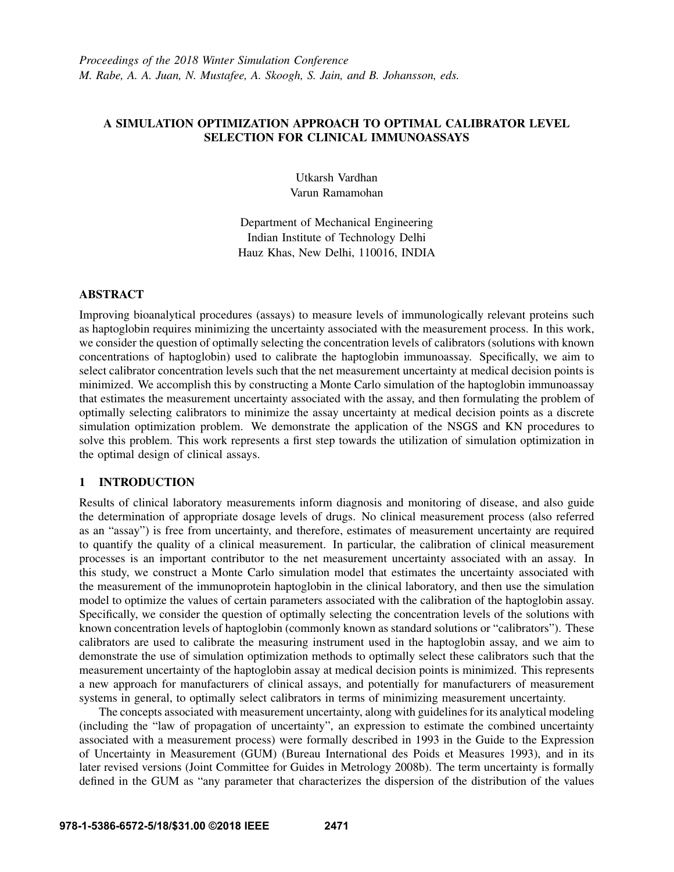# A SIMULATION OPTIMIZATION APPROACH TO OPTIMAL CALIBRATOR LEVEL SELECTION FOR CLINICAL IMMUNOASSAYS

Utkarsh Vardhan Varun Ramamohan

Department of Mechanical Engineering Indian Institute of Technology Delhi Hauz Khas, New Delhi, 110016, INDIA

## **ABSTRACT**

Improving bioanalytical procedures (assays) to measure levels of immunologically relevant proteins such as haptoglobin requires minimizing the uncertainty associated with the measurement process. In this work, we consider the question of optimally selecting the concentration levels of calibrators (solutions with known concentrations of haptoglobin) used to calibrate the haptoglobin immunoassay. Specifically, we aim to select calibrator concentration levels such that the net measurement uncertainty at medical decision points is minimized. We accomplish this by constructing a Monte Carlo simulation of the haptoglobin immunoassay that estimates the measurement uncertainty associated with the assay, and then formulating the problem of optimally selecting calibrators to minimize the assay uncertainty at medical decision points as a discrete simulation optimization problem. We demonstrate the application of the NSGS and KN procedures to solve this problem. This work represents a first step towards the utilization of simulation optimization in the optimal design of clinical assays.

## 1 INTRODUCTION

Results of clinical laboratory measurements inform diagnosis and monitoring of disease, and also guide the determination of appropriate dosage levels of drugs. No clinical measurement process (also referred as an "assay") is free from uncertainty, and therefore, estimates of measurement uncertainty are required to quantify the quality of a clinical measurement. In particular, the calibration of clinical measurement processes is an important contributor to the net measurement uncertainty associated with an assay. In this study, we construct a Monte Carlo simulation model that estimates the uncertainty associated with the measurement of the immunoprotein haptoglobin in the clinical laboratory, and then use the simulation model to optimize the values of certain parameters associated with the calibration of the haptoglobin assay. Specifically, we consider the question of optimally selecting the concentration levels of the solutions with known concentration levels of haptoglobin (commonly known as standard solutions or "calibrators"). These calibrators are used to calibrate the measuring instrument used in the haptoglobin assay, and we aim to demonstrate the use of simulation optimization methods to optimally select these calibrators such that the measurement uncertainty of the haptoglobin assay at medical decision points is minimized. This represents a new approach for manufacturers of clinical assays, and potentially for manufacturers of measurement systems in general, to optimally select calibrators in terms of minimizing measurement uncertainty.

The concepts associated with measurement uncertainty, along with guidelines for its analytical modeling (including the "law of propagation of uncertainty", an expression to estimate the combined uncertainty associated with a measurement process) were formally described in 1993 in the Guide to the Expression of Uncertainty in Measurement (GUM) (Bureau International des Poids et Measures 1993), and in its later revised versions (Joint Committee for Guides in Metrology 2008b). The term uncertainty is formally defined in the GUM as "any parameter that characterizes the dispersion of the distribution of the values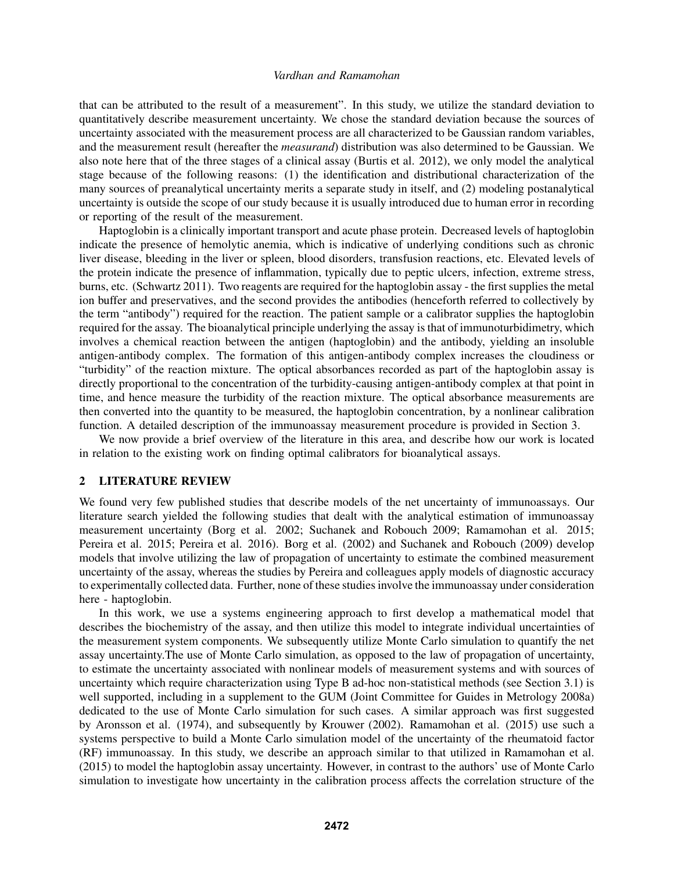that can be attributed to the result of a measurement". In this study, we utilize the standard deviation to quantitatively describe measurement uncertainty. We chose the standard deviation because the sources of uncertainty associated with the measurement process are all characterized to be Gaussian random variables, and the measurement result (hereafter the *measurand*) distribution was also determined to be Gaussian. We also note here that of the three stages of a clinical assay (Burtis et al. 2012), we only model the analytical stage because of the following reasons: (1) the identification and distributional characterization of the many sources of preanalytical uncertainty merits a separate study in itself, and (2) modeling postanalytical uncertainty is outside the scope of our study because it is usually introduced due to human error in recording or reporting of the result of the measurement.

Haptoglobin is a clinically important transport and acute phase protein. Decreased levels of haptoglobin indicate the presence of hemolytic anemia, which is indicative of underlying conditions such as chronic liver disease, bleeding in the liver or spleen, blood disorders, transfusion reactions, etc. Elevated levels of the protein indicate the presence of inflammation, typically due to peptic ulcers, infection, extreme stress, burns, etc. (Schwartz 2011). Two reagents are required for the haptoglobin assay - the first supplies the metal ion buffer and preservatives, and the second provides the antibodies (henceforth referred to collectively by the term "antibody") required for the reaction. The patient sample or a calibrator supplies the haptoglobin required for the assay. The bioanalytical principle underlying the assay is that of immunoturbidimetry, which involves a chemical reaction between the antigen (haptoglobin) and the antibody, yielding an insoluble antigen-antibody complex. The formation of this antigen-antibody complex increases the cloudiness or "turbidity" of the reaction mixture. The optical absorbances recorded as part of the haptoglobin assay is directly proportional to the concentration of the turbidity-causing antigen-antibody complex at that point in time, and hence measure the turbidity of the reaction mixture. The optical absorbance measurements are then converted into the quantity to be measured, the haptoglobin concentration, by a nonlinear calibration function. A detailed description of the immunoassay measurement procedure is provided in Section 3.

We now provide a brief overview of the literature in this area, and describe how our work is located in relation to the existing work on finding optimal calibrators for bioanalytical assays.

# 2 LITERATURE REVIEW

We found very few published studies that describe models of the net uncertainty of immunoassays. Our literature search yielded the following studies that dealt with the analytical estimation of immunoassay measurement uncertainty (Borg et al. 2002; Suchanek and Robouch 2009; Ramamohan et al. 2015; Pereira et al. 2015; Pereira et al. 2016). Borg et al. (2002) and Suchanek and Robouch (2009) develop models that involve utilizing the law of propagation of uncertainty to estimate the combined measurement uncertainty of the assay, whereas the studies by Pereira and colleagues apply models of diagnostic accuracy to experimentally collected data. Further, none of these studies involve the immunoassay under consideration here - haptoglobin.

In this work, we use a systems engineering approach to first develop a mathematical model that describes the biochemistry of the assay, and then utilize this model to integrate individual uncertainties of the measurement system components. We subsequently utilize Monte Carlo simulation to quantify the net assay uncertainty.The use of Monte Carlo simulation, as opposed to the law of propagation of uncertainty, to estimate the uncertainty associated with nonlinear models of measurement systems and with sources of uncertainty which require characterization using Type B ad-hoc non-statistical methods (see Section 3.1) is well supported, including in a supplement to the GUM (Joint Committee for Guides in Metrology 2008a) dedicated to the use of Monte Carlo simulation for such cases. A similar approach was first suggested by Aronsson et al. (1974), and subsequently by Krouwer (2002). Ramamohan et al. (2015) use such a systems perspective to build a Monte Carlo simulation model of the uncertainty of the rheumatoid factor (RF) immunoassay. In this study, we describe an approach similar to that utilized in Ramamohan et al. (2015) to model the haptoglobin assay uncertainty. However, in contrast to the authors' use of Monte Carlo simulation to investigate how uncertainty in the calibration process affects the correlation structure of the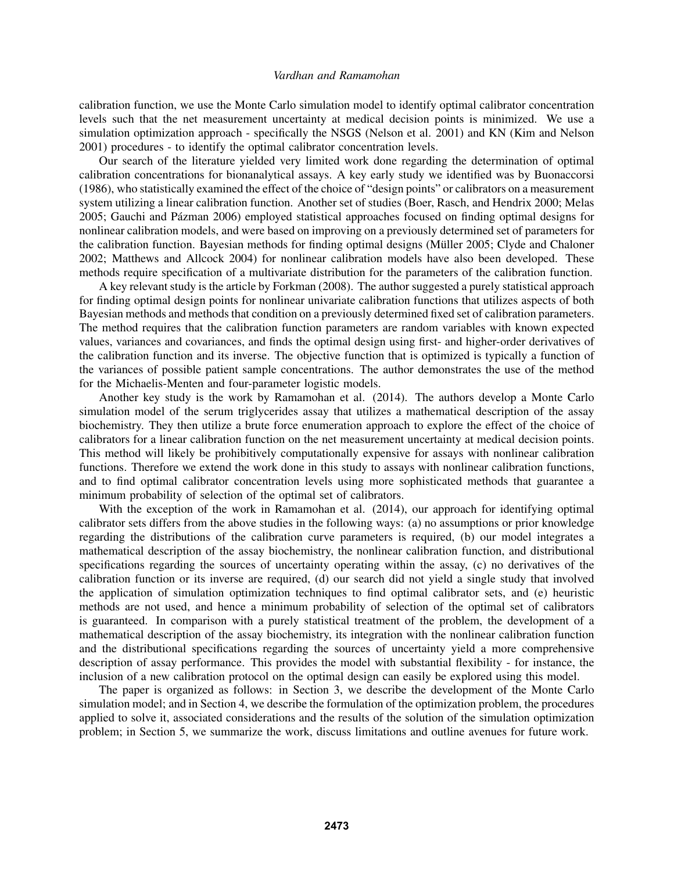calibration function, we use the Monte Carlo simulation model to identify optimal calibrator concentration levels such that the net measurement uncertainty at medical decision points is minimized. We use a simulation optimization approach - specifically the NSGS (Nelson et al. 2001) and KN (Kim and Nelson 2001) procedures - to identify the optimal calibrator concentration levels.

Our search of the literature yielded very limited work done regarding the determination of optimal calibration concentrations for bionanalytical assays. A key early study we identified was by Buonaccorsi (1986), who statistically examined the effect of the choice of "design points" or calibrators on a measurement system utilizing a linear calibration function. Another set of studies (Boer, Rasch, and Hendrix 2000; Melas 2005; Gauchi and Pázman 2006) employed statistical approaches focused on finding optimal designs for nonlinear calibration models, and were based on improving on a previously determined set of parameters for the calibration function. Bayesian methods for finding optimal designs (Müller 2005; Clyde and Chaloner 2002; Matthews and Allcock 2004) for nonlinear calibration models have also been developed. These methods require specification of a multivariate distribution for the parameters of the calibration function.

A key relevant study is the article by Forkman (2008). The author suggested a purely statistical approach for finding optimal design points for nonlinear univariate calibration functions that utilizes aspects of both Bayesian methods and methods that condition on a previously determined fixed set of calibration parameters. The method requires that the calibration function parameters are random variables with known expected values, variances and covariances, and finds the optimal design using first- and higher-order derivatives of the calibration function and its inverse. The objective function that is optimized is typically a function of the variances of possible patient sample concentrations. The author demonstrates the use of the method for the Michaelis-Menten and four-parameter logistic models.

Another key study is the work by Ramamohan et al. (2014). The authors develop a Monte Carlo simulation model of the serum triglycerides assay that utilizes a mathematical description of the assay biochemistry. They then utilize a brute force enumeration approach to explore the effect of the choice of calibrators for a linear calibration function on the net measurement uncertainty at medical decision points. This method will likely be prohibitively computationally expensive for assays with nonlinear calibration functions. Therefore we extend the work done in this study to assays with nonlinear calibration functions, and to find optimal calibrator concentration levels using more sophisticated methods that guarantee a minimum probability of selection of the optimal set of calibrators.

With the exception of the work in Ramamohan et al. (2014), our approach for identifying optimal calibrator sets differs from the above studies in the following ways: (a) no assumptions or prior knowledge regarding the distributions of the calibration curve parameters is required, (b) our model integrates a mathematical description of the assay biochemistry, the nonlinear calibration function, and distributional specifications regarding the sources of uncertainty operating within the assay, (c) no derivatives of the calibration function or its inverse are required, (d) our search did not yield a single study that involved the application of simulation optimization techniques to find optimal calibrator sets, and (e) heuristic methods are not used, and hence a minimum probability of selection of the optimal set of calibrators is guaranteed. In comparison with a purely statistical treatment of the problem, the development of a mathematical description of the assay biochemistry, its integration with the nonlinear calibration function and the distributional specifications regarding the sources of uncertainty yield a more comprehensive description of assay performance. This provides the model with substantial flexibility - for instance, the inclusion of a new calibration protocol on the optimal design can easily be explored using this model.

The paper is organized as follows: in Section 3, we describe the development of the Monte Carlo simulation model; and in Section 4, we describe the formulation of the optimization problem, the procedures applied to solve it, associated considerations and the results of the solution of the simulation optimization problem; in Section 5, we summarize the work, discuss limitations and outline avenues for future work.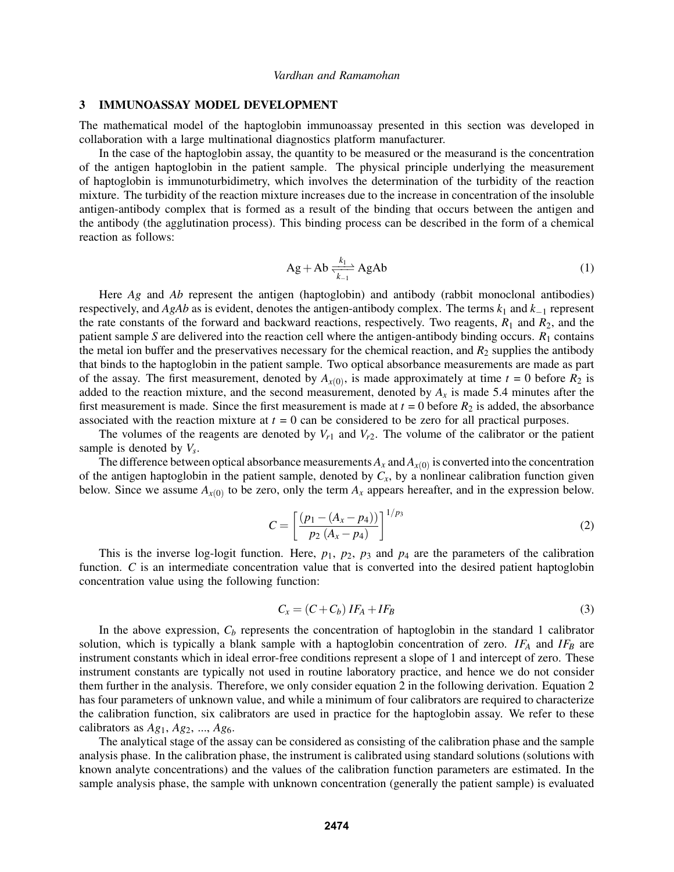#### 3 IMMUNOASSAY MODEL DEVELOPMENT

The mathematical model of the haptoglobin immunoassay presented in this section was developed in collaboration with a large multinational diagnostics platform manufacturer.

In the case of the haptoglobin assay, the quantity to be measured or the measurand is the concentration of the antigen haptoglobin in the patient sample. The physical principle underlying the measurement of haptoglobin is immunoturbidimetry, which involves the determination of the turbidity of the reaction mixture. The turbidity of the reaction mixture increases due to the increase in concentration of the insoluble antigen-antibody complex that is formed as a result of the binding that occurs between the antigen and the antibody (the agglutination process). This binding process can be described in the form of a chemical reaction as follows:

$$
Ag + Ab \frac{k_1}{k_1} AgAb \tag{1}
$$

Here *Ag* and *Ab* represent the antigen (haptoglobin) and antibody (rabbit monoclonal antibodies) respectively, and *AgAb* as is evident, denotes the antigen-antibody complex. The terms *k*<sup>1</sup> and *k*−<sup>1</sup> represent the rate constants of the forward and backward reactions, respectively. Two reagents,  $R_1$  and  $R_2$ , and the patient sample *S* are delivered into the reaction cell where the antigen-antibody binding occurs. *R*<sup>1</sup> contains the metal ion buffer and the preservatives necessary for the chemical reaction, and  $R_2$  supplies the antibody that binds to the haptoglobin in the patient sample. Two optical absorbance measurements are made as part of the assay. The first measurement, denoted by  $A_{x(0)}$ , is made approximately at time  $t = 0$  before  $R_2$  is added to the reaction mixture, and the second measurement, denoted by  $A_x$  is made 5.4 minutes after the first measurement is made. Since the first measurement is made at  $t = 0$  before  $R_2$  is added, the absorbance associated with the reaction mixture at  $t = 0$  can be considered to be zero for all practical purposes.

The volumes of the reagents are denoted by  $V_{r1}$  and  $V_{r2}$ . The volume of the calibrator or the patient sample is denoted by *V<sup>s</sup>* .

The difference between optical absorbance measurements  $A_x$  and  $A_{x(0)}$  is converted into the concentration of the antigen haptoglobin in the patient sample, denoted by  $C_x$ , by a nonlinear calibration function given below. Since we assume  $A_{x(0)}$  to be zero, only the term  $A_x$  appears hereafter, and in the expression below.

$$
C = \left[\frac{(p_1 - (A_x - p_4))}{p_2 (A_x - p_4)}\right]^{1/p_3}
$$
 (2)

This is the inverse log-logit function. Here,  $p_1$ ,  $p_2$ ,  $p_3$  and  $p_4$  are the parameters of the calibration function. *C* is an intermediate concentration value that is converted into the desired patient haptoglobin concentration value using the following function:

$$
C_x = (C + C_b) IF_A + IF_B \tag{3}
$$

In the above expression,  $C_b$  represents the concentration of haptoglobin in the standard 1 calibrator solution, which is typically a blank sample with a haptoglobin concentration of zero. *IF<sup>A</sup>* and *IF<sup>B</sup>* are instrument constants which in ideal error-free conditions represent a slope of 1 and intercept of zero. These instrument constants are typically not used in routine laboratory practice, and hence we do not consider them further in the analysis. Therefore, we only consider equation 2 in the following derivation. Equation 2 has four parameters of unknown value, and while a minimum of four calibrators are required to characterize the calibration function, six calibrators are used in practice for the haptoglobin assay. We refer to these calibrators as  $Ag_1$ ,  $Ag_2$ , ...,  $Ag_6$ .

The analytical stage of the assay can be considered as consisting of the calibration phase and the sample analysis phase. In the calibration phase, the instrument is calibrated using standard solutions (solutions with known analyte concentrations) and the values of the calibration function parameters are estimated. In the sample analysis phase, the sample with unknown concentration (generally the patient sample) is evaluated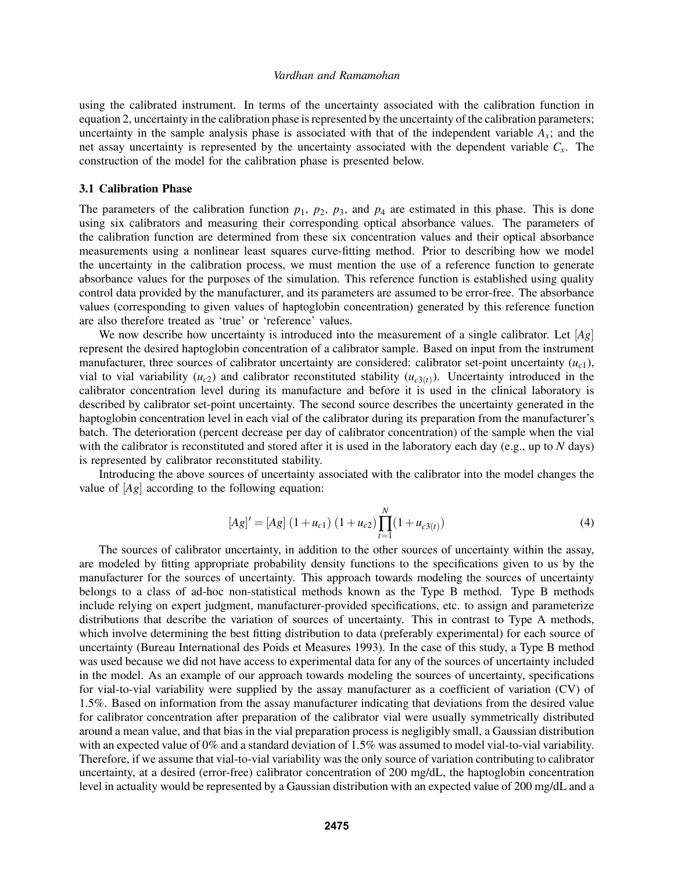using the calibrated instrument. In terms of the uncertainty associated with the calibration function in equation 2, uncertainty in the calibration phase is represented by the uncertainty of the calibration parameters; uncertainty in the sample analysis phase is associated with that of the independent variable  $A_x$ ; and the net assay uncertainty is represented by the uncertainty associated with the dependent variable *Cx*. The construction of the model for the calibration phase is presented below.

### 3.1 Calibration Phase

The parameters of the calibration function  $p_1$ ,  $p_2$ ,  $p_3$ , and  $p_4$  are estimated in this phase. This is done using six calibrators and measuring their corresponding optical absorbance values. The parameters of the calibration function are determined from these six concentration values and their optical absorbance measurements using a nonlinear least squares curve-fitting method. Prior to describing how we model the uncertainty in the calibration process, we must mention the use of a reference function to generate absorbance values for the purposes of the simulation. This reference function is established using quality control data provided by the manufacturer, and its parameters are assumed to be error-free. The absorbance values (corresponding to given values of haptoglobin concentration) generated by this reference function are also therefore treated as 'true' or 'reference' values.

We now describe how uncertainty is introduced into the measurement of a single calibrator. Let [*Ag*] represent the desired haptoglobin concentration of a calibrator sample. Based on input from the instrument manufacturer, three sources of calibrator uncertainty are considered: calibrator set-point uncertainty  $(u_c)$ , vial to vial variability  $(u_{c2})$  and calibrator reconstituted stability  $(u_{c3(t)})$ . Uncertainty introduced in the calibrator concentration level during its manufacture and before it is used in the clinical laboratory is described by calibrator set-point uncertainty. The second source describes the uncertainty generated in the haptoglobin concentration level in each vial of the calibrator during its preparation from the manufacturer's batch. The deterioration (percent decrease per day of calibrator concentration) of the sample when the vial with the calibrator is reconstituted and stored after it is used in the laboratory each day (e.g., up to *N* days) is represented by calibrator reconstituted stability.

Introducing the above sources of uncertainty associated with the calibrator into the model changes the value of [*Ag*] according to the following equation:

$$
[Ag]' = [Ag] (1 + u_{c1}) (1 + u_{c2}) \prod_{t=1}^{N} (1 + u_{c3(t)})
$$
\n(4)

The sources of calibrator uncertainty, in addition to the other sources of uncertainty within the assay, are modeled by fitting appropriate probability density functions to the specifications given to us by the manufacturer for the sources of uncertainty. This approach towards modeling the sources of uncertainty belongs to a class of ad-hoc non-statistical methods known as the Type B method. Type B methods include relying on expert judgment, manufacturer-provided specifications, etc. to assign and parameterize distributions that describe the variation of sources of uncertainty. This in contrast to Type A methods, which involve determining the best fitting distribution to data (preferably experimental) for each source of uncertainty (Bureau International des Poids et Measures 1993). In the case of this study, a Type B method was used because we did not have access to experimental data for any of the sources of uncertainty included in the model. As an example of our approach towards modeling the sources of uncertainty, specifications for vial-to-vial variability were supplied by the assay manufacturer as a coefficient of variation (CV) of 1.5%. Based on information from the assay manufacturer indicating that deviations from the desired value for calibrator concentration after preparation of the calibrator vial were usually symmetrically distributed around a mean value, and that bias in the vial preparation process is negligibly small, a Gaussian distribution with an expected value of 0% and a standard deviation of 1.5% was assumed to model vial-to-vial variability. Therefore, if we assume that vial-to-vial variability was the only source of variation contributing to calibrator uncertainty, at a desired (error-free) calibrator concentration of 200 mg/dL, the haptoglobin concentration level in actuality would be represented by a Gaussian distribution with an expected value of 200 mg/dL and a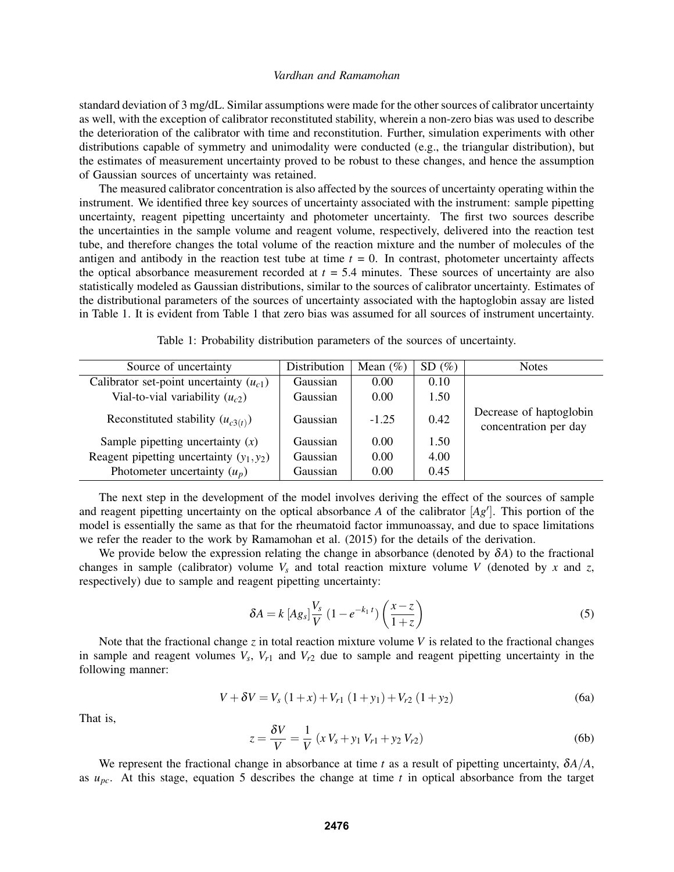standard deviation of 3 mg/dL. Similar assumptions were made for the other sources of calibrator uncertainty as well, with the exception of calibrator reconstituted stability, wherein a non-zero bias was used to describe the deterioration of the calibrator with time and reconstitution. Further, simulation experiments with other distributions capable of symmetry and unimodality were conducted (e.g., the triangular distribution), but the estimates of measurement uncertainty proved to be robust to these changes, and hence the assumption of Gaussian sources of uncertainty was retained.

The measured calibrator concentration is also affected by the sources of uncertainty operating within the instrument. We identified three key sources of uncertainty associated with the instrument: sample pipetting uncertainty, reagent pipetting uncertainty and photometer uncertainty. The first two sources describe the uncertainties in the sample volume and reagent volume, respectively, delivered into the reaction test tube, and therefore changes the total volume of the reaction mixture and the number of molecules of the antigen and antibody in the reaction test tube at time  $t = 0$ . In contrast, photometer uncertainty affects the optical absorbance measurement recorded at  $t = 5.4$  minutes. These sources of uncertainty are also statistically modeled as Gaussian distributions, similar to the sources of calibrator uncertainty. Estimates of the distributional parameters of the sources of uncertainty associated with the haptoglobin assay are listed in Table 1. It is evident from Table 1 that zero bias was assumed for all sources of instrument uncertainty.

|  | Table 1: Probability distribution parameters of the sources of uncertainty. |  |  |  |
|--|-----------------------------------------------------------------------------|--|--|--|
|  |                                                                             |  |  |  |

| Source of uncertainty                       | Distribution | Mean $(\% )$ | SD(%) | <b>Notes</b>                                     |
|---------------------------------------------|--------------|--------------|-------|--------------------------------------------------|
| Calibrator set-point uncertainty $(u_{c1})$ | Gaussian     | 0.00         | 0.10  |                                                  |
| Vial-to-vial variability $(u_{c2})$         | Gaussian     | 0.00         | 1.50  |                                                  |
| Reconstituted stability $(u_{c3(t)})$       | Gaussian     | $-1.25$      | 0.42  | Decrease of haptoglobin<br>concentration per day |
| Sample pipetting uncertainty $(x)$          | Gaussian     | 0.00         | 1.50  |                                                  |
| Reagent pipetting uncertainty $(y_1, y_2)$  | Gaussian     | 0.00         | 4.00  |                                                  |
| Photometer uncertainty $(u_p)$              | Gaussian     | 0.00         | 0.45  |                                                  |

The next step in the development of the model involves deriving the effect of the sources of sample and reagent pipetting uncertainty on the optical absorbance  $A$  of the calibrator  $[Ag']$ . This portion of the model is essentially the same as that for the rheumatoid factor immunoassay, and due to space limitations we refer the reader to the work by Ramamohan et al. (2015) for the details of the derivation.

We provide below the expression relating the change in absorbance (denoted by  $\delta A$ ) to the fractional changes in sample (calibrator) volume  $V_s$  and total reaction mixture volume *V* (denoted by *x* and *z*, respectively) due to sample and reagent pipetting uncertainty:

$$
\delta A = k \left[ A g_s \right] \frac{V_s}{V} \left( 1 - e^{-k_1 t} \right) \left( \frac{x - z}{1 + z} \right) \tag{5}
$$

Note that the fractional change *z* in total reaction mixture volume *V* is related to the fractional changes in sample and reagent volumes  $V_s$ ,  $V_{r1}$  and  $V_{r2}$  due to sample and reagent pipetting uncertainty in the following manner:

$$
V + \delta V = V_s (1 + x) + V_{r1} (1 + y_1) + V_{r2} (1 + y_2)
$$
 (6a)

That is,

$$
z = \frac{\delta V}{V} = \frac{1}{V} \left( x V_s + y_1 V_{r1} + y_2 V_{r2} \right)
$$
 (6b)

We represent the fractional change in absorbance at time *t* as a result of pipetting uncertainty,  $\delta A/A$ , as *upc*. At this stage, equation 5 describes the change at time *t* in optical absorbance from the target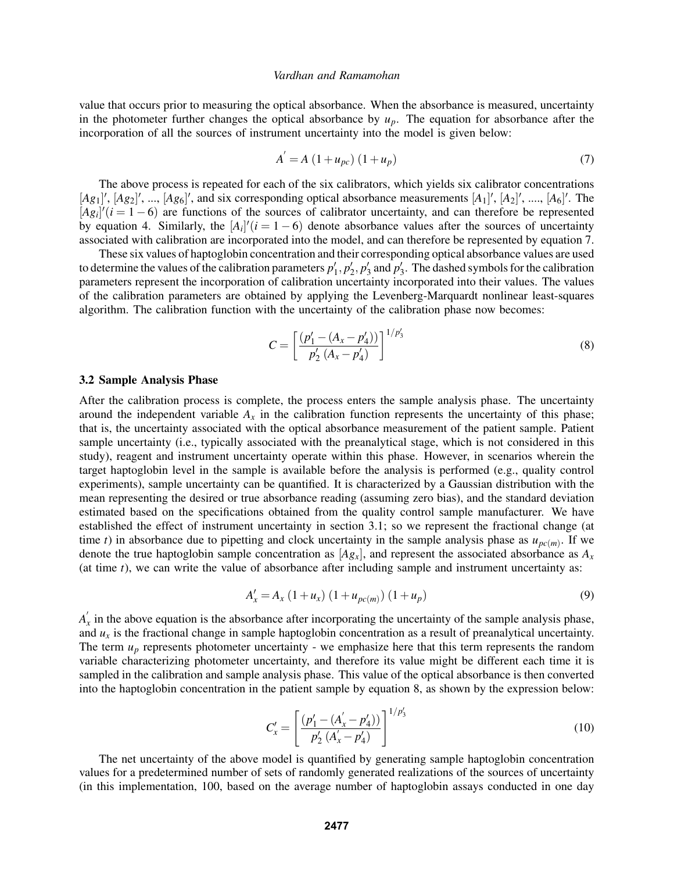value that occurs prior to measuring the optical absorbance. When the absorbance is measured, uncertainty in the photometer further changes the optical absorbance by  $u_p$ . The equation for absorbance after the incorporation of all the sources of instrument uncertainty into the model is given below:

$$
A' = A (1 + u_{pc}) (1 + u_p)
$$
 (7)

The above process is repeated for each of the six calibrators, which yields six calibrator concentrations  $[Ag_1]'$ ,  $[Ag_2]'$ , ...,  $[Ag_6]'$ , and six corresponding optical absorbance measurements  $[A_1]'$ ,  $[A_2]'$ , ...,  $[A_6]'$ . The  $[Ag_i]'(i=1-6)$  are functions of the sources of calibrator uncertainty, and can therefore be represented by equation 4. Similarly, the  $[A_i]'(i = 1 - 6)$  denote absorbance values after the sources of uncertainty associated with calibration are incorporated into the model, and can therefore be represented by equation 7.

These six values of haptoglobin concentration and their corresponding optical absorbance values are used to determine the values of the calibration parameters  $p'_1, p'_2, p'_3$  and  $p'_3$ . The dashed symbols for the calibration parameters represent the incorporation of calibration uncertainty incorporated into their values. The values of the calibration parameters are obtained by applying the Levenberg-Marquardt nonlinear least-squares algorithm. The calibration function with the uncertainty of the calibration phase now becomes:

$$
C = \left[ \frac{(p_1' - (A_x - p_4'))}{p_2' (A_x - p_4')} \right]^{1/p_3'} \tag{8}
$$

#### 3.2 Sample Analysis Phase

After the calibration process is complete, the process enters the sample analysis phase. The uncertainty around the independent variable  $A_x$  in the calibration function represents the uncertainty of this phase; that is, the uncertainty associated with the optical absorbance measurement of the patient sample. Patient sample uncertainty (i.e., typically associated with the preanalytical stage, which is not considered in this study), reagent and instrument uncertainty operate within this phase. However, in scenarios wherein the target haptoglobin level in the sample is available before the analysis is performed (e.g., quality control experiments), sample uncertainty can be quantified. It is characterized by a Gaussian distribution with the mean representing the desired or true absorbance reading (assuming zero bias), and the standard deviation estimated based on the specifications obtained from the quality control sample manufacturer. We have established the effect of instrument uncertainty in section 3.1; so we represent the fractional change (at time *t*) in absorbance due to pipetting and clock uncertainty in the sample analysis phase as  $u_{pc(m)}$ . If we denote the true haptoglobin sample concentration as  $[Ag_x]$ , and represent the associated absorbance as  $A_x$ (at time *t*), we can write the value of absorbance after including sample and instrument uncertainty as:

$$
A'_x = A_x (1 + u_x) (1 + u_{pc(m)}) (1 + u_p)
$$
\n(9)

 $A_1'$  $\hat{x}$  in the above equation is the absorbance after incorporating the uncertainty of the sample analysis phase, and  $u_x$  is the fractional change in sample haptoglobin concentration as a result of preanalytical uncertainty. The term  $u_p$  represents photometer uncertainty - we emphasize here that this term represents the random variable characterizing photometer uncertainty, and therefore its value might be different each time it is sampled in the calibration and sample analysis phase. This value of the optical absorbance is then converted into the haptoglobin concentration in the patient sample by equation 8, as shown by the expression below:

$$
C'_{x} = \left[ \frac{(p'_{1} - (A'_{x} - p'_{4}))}{p'_{2} (A'_{x} - p'_{4})} \right]^{1/p'_{3}}
$$
(10)

The net uncertainty of the above model is quantified by generating sample haptoglobin concentration values for a predetermined number of sets of randomly generated realizations of the sources of uncertainty (in this implementation, 100, based on the average number of haptoglobin assays conducted in one day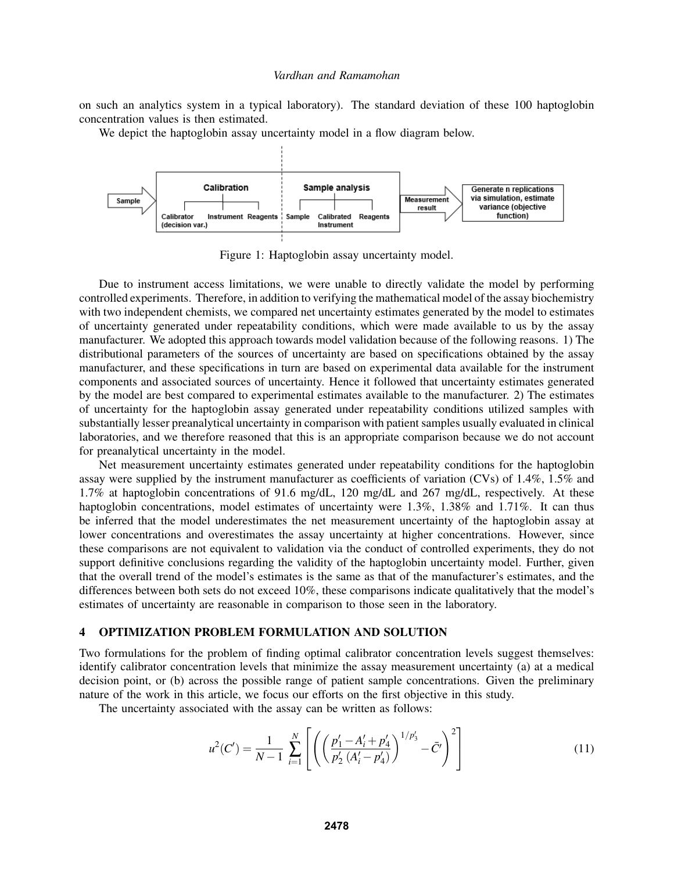on such an analytics system in a typical laboratory). The standard deviation of these 100 haptoglobin concentration values is then estimated.

We depict the haptoglobin assay uncertainty model in a flow diagram below.



Figure 1: Haptoglobin assay uncertainty model.

Due to instrument access limitations, we were unable to directly validate the model by performing controlled experiments. Therefore, in addition to verifying the mathematical model of the assay biochemistry with two independent chemists, we compared net uncertainty estimates generated by the model to estimates of uncertainty generated under repeatability conditions, which were made available to us by the assay manufacturer. We adopted this approach towards model validation because of the following reasons. 1) The distributional parameters of the sources of uncertainty are based on specifications obtained by the assay manufacturer, and these specifications in turn are based on experimental data available for the instrument components and associated sources of uncertainty. Hence it followed that uncertainty estimates generated by the model are best compared to experimental estimates available to the manufacturer. 2) The estimates of uncertainty for the haptoglobin assay generated under repeatability conditions utilized samples with substantially lesser preanalytical uncertainty in comparison with patient samples usually evaluated in clinical laboratories, and we therefore reasoned that this is an appropriate comparison because we do not account for preanalytical uncertainty in the model.

Net measurement uncertainty estimates generated under repeatability conditions for the haptoglobin assay were supplied by the instrument manufacturer as coefficients of variation (CVs) of 1.4%, 1.5% and 1.7% at haptoglobin concentrations of 91.6 mg/dL, 120 mg/dL and 267 mg/dL, respectively. At these haptoglobin concentrations, model estimates of uncertainty were 1.3%, 1.38% and 1.71%. It can thus be inferred that the model underestimates the net measurement uncertainty of the haptoglobin assay at lower concentrations and overestimates the assay uncertainty at higher concentrations. However, since these comparisons are not equivalent to validation via the conduct of controlled experiments, they do not support definitive conclusions regarding the validity of the haptoglobin uncertainty model. Further, given that the overall trend of the model's estimates is the same as that of the manufacturer's estimates, and the differences between both sets do not exceed 10%, these comparisons indicate qualitatively that the model's estimates of uncertainty are reasonable in comparison to those seen in the laboratory.

## 4 OPTIMIZATION PROBLEM FORMULATION AND SOLUTION

Two formulations for the problem of finding optimal calibrator concentration levels suggest themselves: identify calibrator concentration levels that minimize the assay measurement uncertainty (a) at a medical decision point, or (b) across the possible range of patient sample concentrations. Given the preliminary nature of the work in this article, we focus our efforts on the first objective in this study.

The uncertainty associated with the assay can be written as follows:

$$
u^{2}(C') = \frac{1}{N-1} \sum_{i=1}^{N} \left[ \left( \left( \frac{p'_{1} - A'_{i} + p'_{4}}{p'_{2} (A'_{i} - p'_{4})} \right)^{1/p'_{3}} - \bar{C'} \right)^{2} \right]
$$
(11)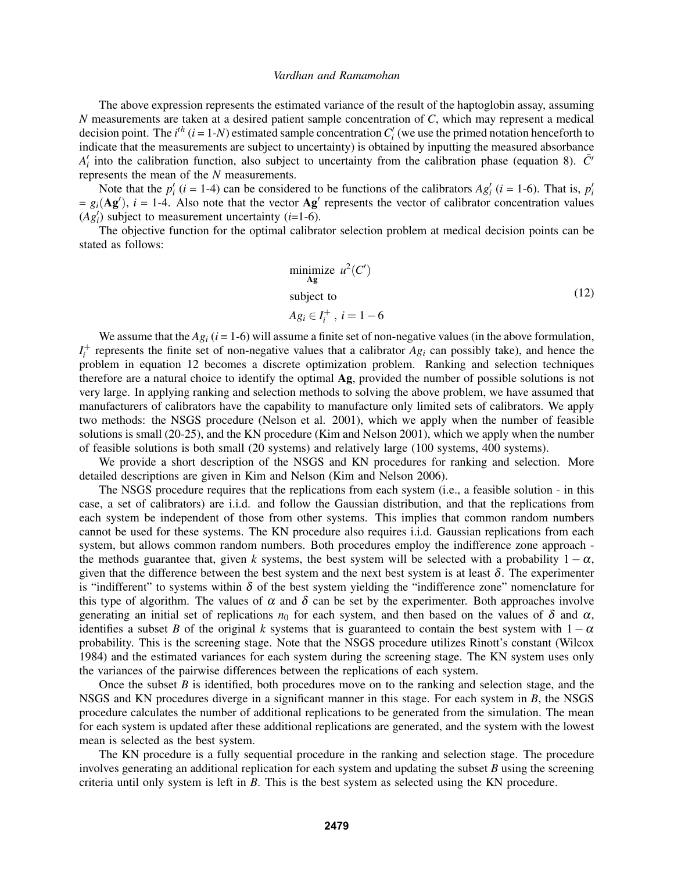The above expression represents the estimated variance of the result of the haptoglobin assay, assuming *N* measurements are taken at a desired patient sample concentration of *C*, which may represent a medical decision point. The  $i^{th}$  ( $i = 1-N$ ) estimated sample concentration  $C_i'$  (we use the primed notation henceforth to indicate that the measurements are subject to uncertainty) is obtained by inputting the measured absorbance  $A'_i$  into the calibration function, also subject to uncertainty from the calibration phase (equation 8).  $\bar{C}'$ represents the mean of the *N* measurements.

Note that the  $p'_i$  ( $i = 1-4$ ) can be considered to be functions of the calibrators  $Ag'_i$  ( $i = 1-6$ ). That is,  $p'_i$  $= g_i(\mathbf{Ag}')$ ,  $i = 1$ -4. Also note that the vector  $\mathbf{Ag}'$  represents the vector of calibrator concentration values  $(Ag_i')$  subject to measurement uncertainty (*i*=1-6).

The objective function for the optimal calibrator selection problem at medical decision points can be stated as follows:

$$
\begin{array}{ll}\n\text{minimize} & u^2(C')\\ \n\text{subject to} \\
A g_i \in I_i^+, \ i = 1 - 6\n\end{array} \tag{12}
$$

We assume that the  $Ag_i$  ( $i = 1-6$ ) will assume a finite set of non-negative values (in the above formulation,  $I_i^+$  represents the finite set of non-negative values that a calibrator  $Ag_i$  can possibly take), and hence the problem in equation 12 becomes a discrete optimization problem. Ranking and selection techniques therefore are a natural choice to identify the optimal Ag, provided the number of possible solutions is not very large. In applying ranking and selection methods to solving the above problem, we have assumed that manufacturers of calibrators have the capability to manufacture only limited sets of calibrators. We apply two methods: the NSGS procedure (Nelson et al. 2001), which we apply when the number of feasible solutions is small (20-25), and the KN procedure (Kim and Nelson 2001), which we apply when the number of feasible solutions is both small (20 systems) and relatively large (100 systems, 400 systems).

We provide a short description of the NSGS and KN procedures for ranking and selection. More detailed descriptions are given in Kim and Nelson (Kim and Nelson 2006).

The NSGS procedure requires that the replications from each system (i.e., a feasible solution - in this case, a set of calibrators) are i.i.d. and follow the Gaussian distribution, and that the replications from each system be independent of those from other systems. This implies that common random numbers cannot be used for these systems. The KN procedure also requires i.i.d. Gaussian replications from each system, but allows common random numbers. Both procedures employ the indifference zone approach the methods guarantee that, given *k* systems, the best system will be selected with a probability  $1 - \alpha$ , given that the difference between the best system and the next best system is at least  $\delta$ . The experimenter is "indifferent" to systems within  $\delta$  of the best system yielding the "indifference zone" nomenclature for this type of algorithm. The values of  $\alpha$  and  $\delta$  can be set by the experimenter. Both approaches involve generating an initial set of replications  $n_0$  for each system, and then based on the values of  $\delta$  and  $\alpha$ , identifies a subset *B* of the original *k* systems that is guaranteed to contain the best system with  $1 - \alpha$ probability. This is the screening stage. Note that the NSGS procedure utilizes Rinott's constant (Wilcox 1984) and the estimated variances for each system during the screening stage. The KN system uses only the variances of the pairwise differences between the replications of each system.

Once the subset *B* is identified, both procedures move on to the ranking and selection stage, and the NSGS and KN procedures diverge in a significant manner in this stage. For each system in *B*, the NSGS procedure calculates the number of additional replications to be generated from the simulation. The mean for each system is updated after these additional replications are generated, and the system with the lowest mean is selected as the best system.

The KN procedure is a fully sequential procedure in the ranking and selection stage. The procedure involves generating an additional replication for each system and updating the subset *B* using the screening criteria until only system is left in *B*. This is the best system as selected using the KN procedure.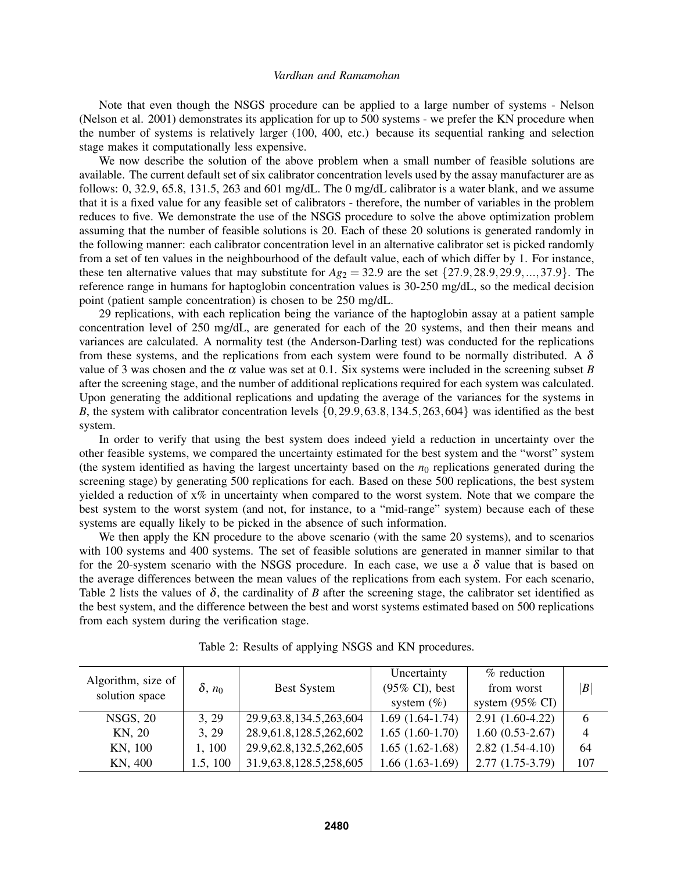Note that even though the NSGS procedure can be applied to a large number of systems - Nelson (Nelson et al. 2001) demonstrates its application for up to 500 systems - we prefer the KN procedure when the number of systems is relatively larger (100, 400, etc.) because its sequential ranking and selection stage makes it computationally less expensive.

We now describe the solution of the above problem when a small number of feasible solutions are available. The current default set of six calibrator concentration levels used by the assay manufacturer are as follows: 0, 32.9, 65.8, 131.5, 263 and 601 mg/dL. The 0 mg/dL calibrator is a water blank, and we assume that it is a fixed value for any feasible set of calibrators - therefore, the number of variables in the problem reduces to five. We demonstrate the use of the NSGS procedure to solve the above optimization problem assuming that the number of feasible solutions is 20. Each of these 20 solutions is generated randomly in the following manner: each calibrator concentration level in an alternative calibrator set is picked randomly from a set of ten values in the neighbourhood of the default value, each of which differ by 1. For instance, these ten alternative values that may substitute for  $Ag_2 = 32.9$  are the set  $\{27.9, 28.9, 29.9, ..., 37.9\}$ . The reference range in humans for haptoglobin concentration values is 30-250 mg/dL, so the medical decision point (patient sample concentration) is chosen to be 250 mg/dL.

29 replications, with each replication being the variance of the haptoglobin assay at a patient sample concentration level of 250 mg/dL, are generated for each of the 20 systems, and then their means and variances are calculated. A normality test (the Anderson-Darling test) was conducted for the replications from these systems, and the replications from each system were found to be normally distributed. A  $\delta$ value of 3 was chosen and the  $\alpha$  value was set at 0.1. Six systems were included in the screening subset *B* after the screening stage, and the number of additional replications required for each system was calculated. Upon generating the additional replications and updating the average of the variances for the systems in *B*, the system with calibrator concentration levels  $\{0, 29.9, 63.8, 134.5, 263, 604\}$  was identified as the best system.

In order to verify that using the best system does indeed yield a reduction in uncertainty over the other feasible systems, we compared the uncertainty estimated for the best system and the "worst" system (the system identified as having the largest uncertainty based on the  $n<sub>0</sub>$  replications generated during the screening stage) by generating 500 replications for each. Based on these 500 replications, the best system yielded a reduction of  $x\%$  in uncertainty when compared to the worst system. Note that we compare the best system to the worst system (and not, for instance, to a "mid-range" system) because each of these systems are equally likely to be picked in the absence of such information.

We then apply the KN procedure to the above scenario (with the same 20 systems), and to scenarios with 100 systems and 400 systems. The set of feasible solutions are generated in manner similar to that for the 20-system scenario with the NSGS procedure. In each case, we use a  $\delta$  value that is based on the average differences between the mean values of the replications from each system. For each scenario, Table 2 lists the values of  $\delta$ , the cardinality of *B* after the screening stage, the calibrator set identified as the best system, and the difference between the best and worst systems estimated based on 500 replications from each system during the verification stage.

| Algorithm, size of |                  |                             | Uncertainty                | % reduction                | $\left\vert B\right\vert$ |  |
|--------------------|------------------|-----------------------------|----------------------------|----------------------------|---------------------------|--|
| solution space     | $\delta$ , $n_0$ | Best System                 | $(95\% \text{ CI})$ , best | from worst                 |                           |  |
|                    |                  |                             | system $(\%)$              | system $(95\% \text{ CI})$ |                           |  |
| <b>NSGS, 20</b>    | 3, 29            | 29.9, 63.8, 134.5, 263, 604 | $1.69(1.64-1.74)$          | $2.91(1.60-4.22)$          | 6                         |  |
| KN, 20             | 3, 29            | 28.9,61.8,128.5,262,602     | $1.65(1.60-1.70)$          | $1.60(0.53-2.67)$          | $\overline{4}$            |  |
| KN, 100            | 1, 100           | 29.9, 62.8, 132.5, 262, 605 | $1.65(1.62-1.68)$          | $2.82(1.54-4.10)$          | 64                        |  |
| KN, 400            | 1.5, 100         | 31.9,63.8,128.5,258,605     | $1.66(1.63-1.69)$          | $2.77(1.75-3.79)$          | 107                       |  |

Table 2: Results of applying NSGS and KN procedures.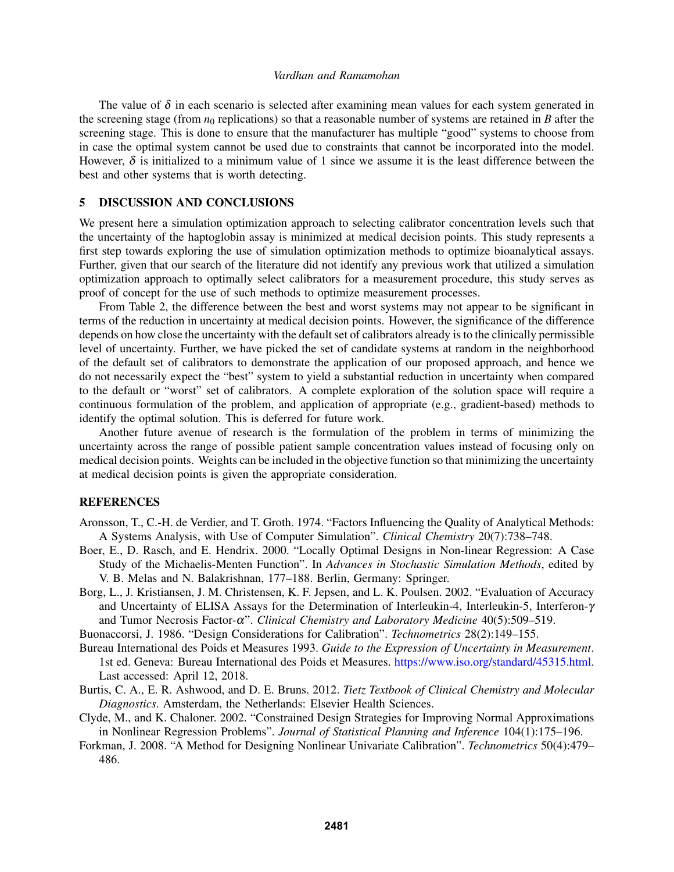The value of  $\delta$  in each scenario is selected after examining mean values for each system generated in the screening stage (from  $n_0$  replications) so that a reasonable number of systems are retained in *B* after the screening stage. This is done to ensure that the manufacturer has multiple "good" systems to choose from in case the optimal system cannot be used due to constraints that cannot be incorporated into the model. However,  $\delta$  is initialized to a minimum value of 1 since we assume it is the least difference between the best and other systems that is worth detecting.

## 5 DISCUSSION AND CONCLUSIONS

We present here a simulation optimization approach to selecting calibrator concentration levels such that the uncertainty of the haptoglobin assay is minimized at medical decision points. This study represents a first step towards exploring the use of simulation optimization methods to optimize bioanalytical assays. Further, given that our search of the literature did not identify any previous work that utilized a simulation optimization approach to optimally select calibrators for a measurement procedure, this study serves as proof of concept for the use of such methods to optimize measurement processes.

From Table 2, the difference between the best and worst systems may not appear to be significant in terms of the reduction in uncertainty at medical decision points. However, the significance of the difference depends on how close the uncertainty with the default set of calibrators already is to the clinically permissible level of uncertainty. Further, we have picked the set of candidate systems at random in the neighborhood of the default set of calibrators to demonstrate the application of our proposed approach, and hence we do not necessarily expect the "best" system to yield a substantial reduction in uncertainty when compared to the default or "worst" set of calibrators. A complete exploration of the solution space will require a continuous formulation of the problem, and application of appropriate (e.g., gradient-based) methods to identify the optimal solution. This is deferred for future work.

Another future avenue of research is the formulation of the problem in terms of minimizing the uncertainty across the range of possible patient sample concentration values instead of focusing only on medical decision points. Weights can be included in the objective function so that minimizing the uncertainty at medical decision points is given the appropriate consideration.

## **REFERENCES**

- Aronsson, T., C.-H. de Verdier, and T. Groth. 1974. "Factors Influencing the Quality of Analytical Methods: A Systems Analysis, with Use of Computer Simulation". *Clinical Chemistry* 20(7):738–748.
- Boer, E., D. Rasch, and E. Hendrix. 2000. "Locally Optimal Designs in Non-linear Regression: A Case Study of the Michaelis-Menten Function". In *Advances in Stochastic Simulation Methods*, edited by V. B. Melas and N. Balakrishnan, 177–188. Berlin, Germany: Springer.
- Borg, L., J. Kristiansen, J. M. Christensen, K. F. Jepsen, and L. K. Poulsen. 2002. "Evaluation of Accuracy and Uncertainty of ELISA Assays for the Determination of Interleukin-4, Interleukin-5, Interferon-γ and Tumor Necrosis Factor-α". *Clinical Chemistry and Laboratory Medicine* 40(5):509–519.
- Buonaccorsi, J. 1986. "Design Considerations for Calibration". *Technometrics* 28(2):149–155.
- Bureau International des Poids et Measures 1993. *Guide to the Expression of Uncertainty in Measurement*. 1st ed. Geneva: Bureau International des Poids et Measures. https://www.iso.org/standard/45315.html. Last accessed: April 12, 2018.
- Burtis, C. A., E. R. Ashwood, and D. E. Bruns. 2012. *Tietz Textbook of Clinical Chemistry and Molecular Diagnostics*. Amsterdam, the Netherlands: Elsevier Health Sciences.
- Clyde, M., and K. Chaloner. 2002. "Constrained Design Strategies for Improving Normal Approximations in Nonlinear Regression Problems". *Journal of Statistical Planning and Inference* 104(1):175–196.
- Forkman, J. 2008. "A Method for Designing Nonlinear Univariate Calibration". *Technometrics* 50(4):479– 486.